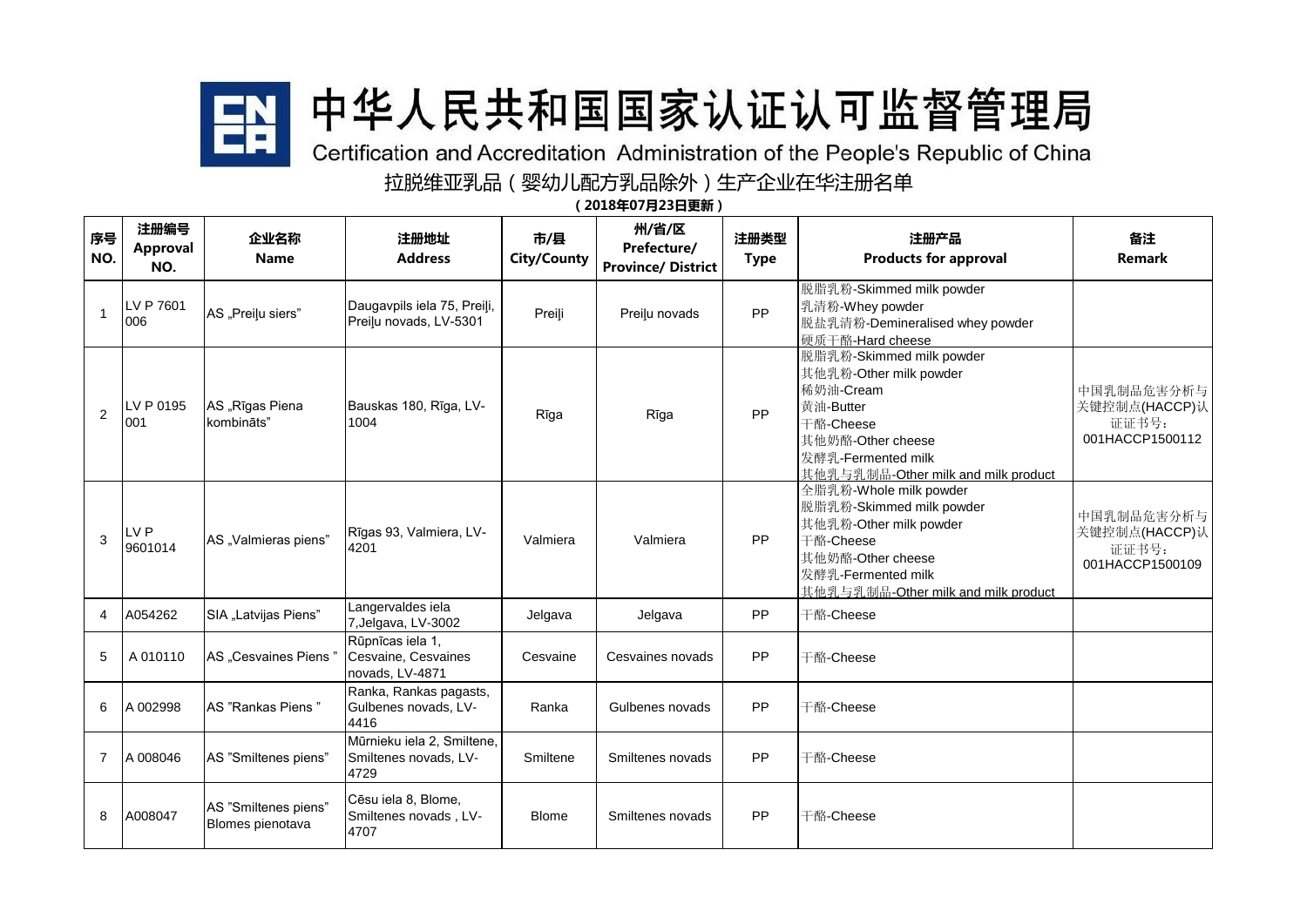

## 拉脱维亚乳品(婴幼儿配方乳品除外)生产企业在华注册名单

(2018年07月23日更新)

| 序号<br>NO.      | 注册编号<br>Approval<br>NO.    | 企业名称<br><b>Name</b>                      | 注册地址<br><b>Address</b>                                      | 市/县<br><b>City/County</b> | 州/省/区<br>Prefecture/<br><b>Province/ District</b> | 注册类型<br><b>Type</b> | 注册产品<br><b>Products for approval</b>                                                                                                                                         | 备注<br><b>Remark</b>                                     |
|----------------|----------------------------|------------------------------------------|-------------------------------------------------------------|---------------------------|---------------------------------------------------|---------------------|------------------------------------------------------------------------------------------------------------------------------------------------------------------------------|---------------------------------------------------------|
| $\mathbf{1}$   | LV P 7601<br>006           | AS "Preiļu siers"                        | Daugavpils iela 75, Preiļi,<br>Preilu novads, LV-5301       | Preili                    | Preiļu novads                                     | PP                  | 脱脂乳粉-Skimmed milk powder<br>乳清粉-Whey powder<br>脱盐乳清粉-Demineralised whey powder<br>硬质干酪-Hard cheese                                                                           |                                                         |
| $\overline{2}$ | LV P 0195<br>001           | AS "Rīgas Piena<br>kombināts"            | Bauskas 180, Rīga, LV-<br>1004                              | Rīga                      | Rīga                                              | PP                  | 脱脂乳粉-Skimmed milk powder<br>其他乳粉-Other milk powder<br>稀奶油-Cream<br>黄油-Butter<br>干酪-Cheese<br>其他奶酪-Other cheese<br> 发酵乳-Fermented milk<br>其他乳与乳制品-Other milk and milk product | 中国乳制品危害分析与<br>关键控制点(HACCP)认<br>证证书号:<br>001HACCP1500112 |
| 3              | LV <sub>P</sub><br>9601014 | AS "Valmieras piens"                     | Rīgas 93, Valmiera, LV-<br>4201                             | Valmiera                  | Valmiera                                          | PP                  | 全脂乳粉-Whole milk powder<br>脱脂乳粉-Skimmed milk powder<br>其他乳粉-Other milk powder<br>干酪-Cheese<br>其他奶酪-Other cheese<br>发酵乳-Fermented milk<br>其他乳与乳制品-Other milk and milk product  | 中国乳制品危害分析与<br>关键控制点(HACCP)认<br>证证书号:<br>001HACCP1500109 |
| 4              | A054262                    | SIA "Latvijas Piens"                     | Langervaldes iela<br>7, Jelgava, LV-3002                    | Jelgava                   | Jelgava                                           | PP                  | 干酪-Cheese                                                                                                                                                                    |                                                         |
| 5              | A010110                    | AS "Cesvaines Piens"                     | Rūpnīcas iela 1,<br>Cesvaine, Cesvaines<br>novads, LV-4871  | Cesvaine                  | Cesvaines novads                                  | PP                  | 干酪-Cheese                                                                                                                                                                    |                                                         |
| 6              | A 002998                   | AS "Rankas Piens"                        | Ranka, Rankas pagasts,<br>Gulbenes novads, LV-<br>4416      | Ranka                     | Gulbenes novads                                   | PP                  | 干酪-Cheese                                                                                                                                                                    |                                                         |
| $\overline{7}$ | A 008046                   | AS "Smiltenes piens"                     | Mūrnieku iela 2, Smiltene,<br>Smiltenes novads, LV-<br>4729 | Smiltene                  | Smiltenes novads                                  | PP                  | 干酪-Cheese                                                                                                                                                                    |                                                         |
| 8              | A008047                    | AS "Smiltenes piens"<br>Blomes pienotava | Cēsu iela 8, Blome,<br>Smiltenes novads, LV-<br>4707        | <b>Blome</b>              | Smiltenes novads                                  | PP                  | 干酪-Cheese                                                                                                                                                                    |                                                         |